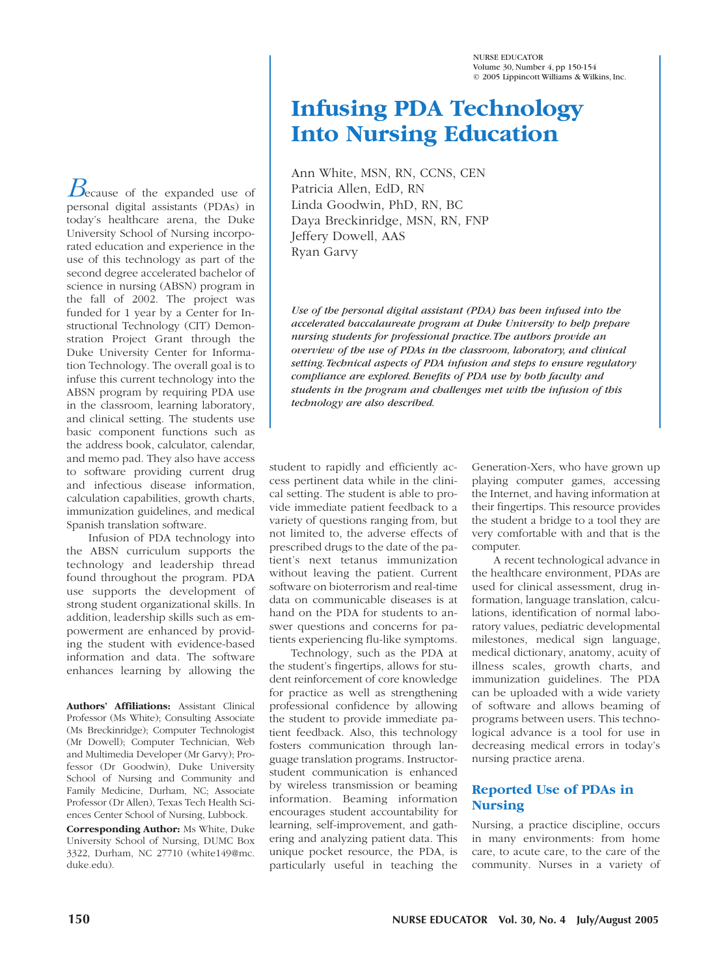# **Infusing PDA Technology Into Nursing Education**

Ann White, MSN, RN, CCNS, CEN Patricia Allen, EdD, RN Linda Goodwin, PhD, RN, BC Daya Breckinridge, MSN, RN, FNP Jeffery Dowell, AAS Ryan Garvy

*Use of the personal digital assistant (PDA) has been infused into the accelerated baccalaureate program at Duke University to help prepare nursing students for professional practice.The authors provide an overview of the use of PDAs in the classroom, laboratory, and clinical setting.Technical aspects of PDA infusion and steps to ensure regulatory compliance are explored. Benefits of PDA use by both faculty and students in the program and challenges met with the infusion of this technology are also described.*

*B*ecause of the expanded use of personal digital assistants (PDAs) in today's healthcare arena, the Duke University School of Nursing incorporated education and experience in the use of this technology as part of the second degree accelerated bachelor of science in nursing (ABSN) program in the fall of 2002. The project was funded for 1 year by a Center for Instructional Technology (CIT) Demonstration Project Grant through the Duke University Center for Information Technology. The overall goal is to infuse this current technology into the ABSN program by requiring PDA use in the classroom, learning laboratory, and clinical setting. The students use basic component functions such as the address book, calculator, calendar, and memo pad. They also have access to software providing current drug and infectious disease information, calculation capabilities, growth charts, immunization guidelines, and medical Spanish translation software.

Infusion of PDA technology into the ABSN curriculum supports the technology and leadership thread found throughout the program. PDA use supports the development of strong student organizational skills. In addition, leadership skills such as empowerment are enhanced by providing the student with evidence-based information and data. The software enhances learning by allowing the

**Authors' Affiliations:** Assistant Clinical Professor (Ms White); Consulting Associate (Ms Breckinridge); Computer Technologist (Mr Dowell); Computer Technician, Web and Multimedia Developer (Mr Garvy); Professor (Dr Goodwin), Duke University School of Nursing and Community and Family Medicine, Durham, NC; Associate Professor (Dr Allen), Texas Tech Health Sciences Center School of Nursing, Lubbock.

**Corresponding Author:** Ms White, Duke University School of Nursing, DUMC Box 3322, Durham, NC 27710 (white149@mc. duke.edu).

student to rapidly and efficiently access pertinent data while in the clinical setting. The student is able to provide immediate patient feedback to a variety of questions ranging from, but not limited to, the adverse effects of prescribed drugs to the date of the patient's next tetanus immunization without leaving the patient. Current software on bioterrorism and real-time data on communicable diseases is at hand on the PDA for students to answer questions and concerns for patients experiencing flu-like symptoms.

Technology, such as the PDA at the student's fingertips, allows for student reinforcement of core knowledge for practice as well as strengthening professional confidence by allowing the student to provide immediate patient feedback. Also, this technology fosters communication through language translation programs. Instructorstudent communication is enhanced by wireless transmission or beaming information. Beaming information encourages student accountability for learning, self-improvement, and gathering and analyzing patient data. This unique pocket resource, the PDA, is particularly useful in teaching the

Generation-Xers, who have grown up playing computer games, accessing the Internet, and having information at their fingertips. This resource provides the student a bridge to a tool they are very comfortable with and that is the computer.

A recent technological advance in the healthcare environment, PDAs are used for clinical assessment, drug information, language translation, calculations, identification of normal laboratory values, pediatric developmental milestones, medical sign language, medical dictionary, anatomy, acuity of illness scales, growth charts, and immunization guidelines. The PDA can be uploaded with a wide variety of software and allows beaming of programs between users. This technological advance is a tool for use in decreasing medical errors in today's nursing practice arena.

# **Reported Use of PDAs in Nursing**

Nursing, a practice discipline, occurs in many environments: from home care, to acute care, to the care of the community. Nurses in a variety of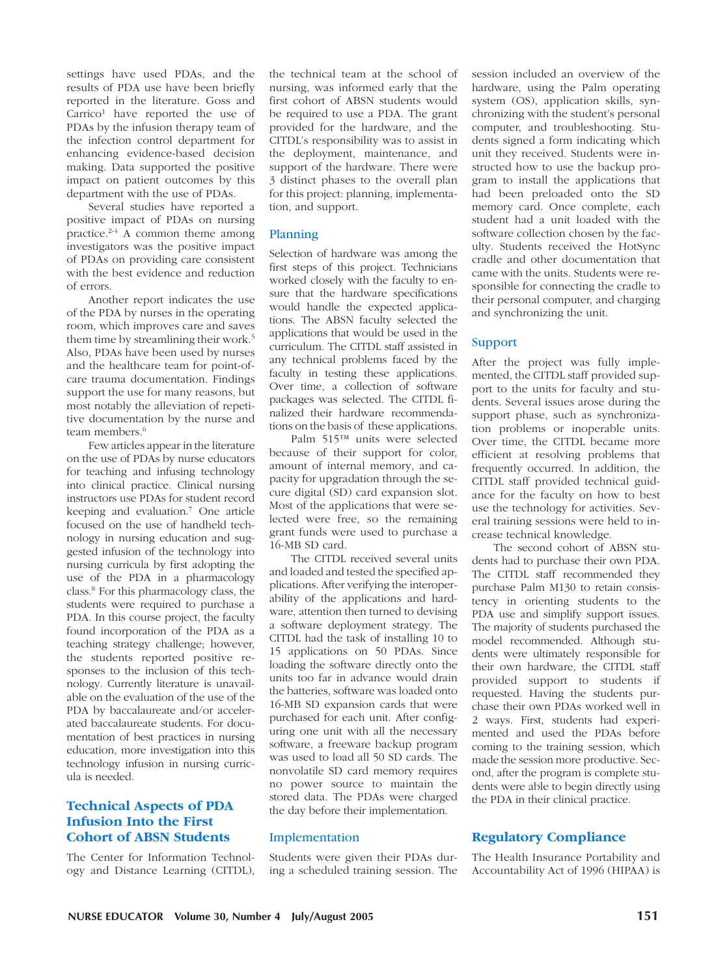settings have used PDAs, and the results of PDA use have been briefly reported in the literature. Goss and Carrico<sup>1</sup> have reported the use of PDAs by the infusion therapy team of the infection control department for enhancing evidence-based decision making. Data supported the positive impact on patient outcomes by this department with the use of PDAs.

Several studies have reported a positive impact of PDAs on nursing practice. $2-4$  A common theme among investigators was the positive impact of PDAs on providing care consistent with the best evidence and reduction of errors.

Another report indicates the use of the PDA by nurses in the operating room, which improves care and saves them time by streamlining their work.<sup>5</sup> Also, PDAs have been used by nurses and the healthcare team for point-ofcare trauma documentation. Findings support the use for many reasons, but most notably the alleviation of repetitive documentation by the nurse and team members.<sup>6</sup>

Few articles appear in the literature on the use of PDAs by nurse educators for teaching and infusing technology into clinical practice. Clinical nursing instructors use PDAs for student record keeping and evaluation.7 One article focused on the use of handheld technology in nursing education and suggested infusion of the technology into nursing curricula by first adopting the use of the PDA in a pharmacology class.8 For this pharmacology class, the students were required to purchase a PDA. In this course project, the faculty found incorporation of the PDA as a teaching strategy challenge; however, the students reported positive responses to the inclusion of this technology. Currently literature is unavailable on the evaluation of the use of the PDA by baccalaureate and/or accelerated baccalaureate students. For documentation of best practices in nursing education, more investigation into this technology infusion in nursing curricula is needed.

## **Technical Aspects of PDA Infusion Into the First Cohort of ABSN Students**

The Center for Information Technology and Distance Learning (CITDL), the technical team at the school of nursing, was informed early that the first cohort of ABSN students would be required to use a PDA. The grant provided for the hardware, and the CITDL's responsibility was to assist in the deployment, maintenance, and support of the hardware. There were 3 distinct phases to the overall plan for this project: planning, implementation, and support.

#### Planning

Selection of hardware was among the first steps of this project. Technicians worked closely with the faculty to ensure that the hardware specifications would handle the expected applications. The ABSN faculty selected the applications that would be used in the curriculum. The CITDL staff assisted in any technical problems faced by the faculty in testing these applications. Over time, a collection of software packages was selected. The CITDL finalized their hardware recommendations on the basis of these applications.

Palm 515™ units were selected because of their support for color, amount of internal memory, and capacity for upgradation through the secure digital (SD) card expansion slot. Most of the applications that were selected were free, so the remaining grant funds were used to purchase a 16-MB SD card.

The CITDL received several units and loaded and tested the specified applications. After verifying the interoperability of the applications and hardware, attention then turned to devising a software deployment strategy. The CITDL had the task of installing 10 to 15 applications on 50 PDAs. Since loading the software directly onto the units too far in advance would drain the batteries, software was loaded onto 16-MB SD expansion cards that were purchased for each unit. After configuring one unit with all the necessary software, a freeware backup program was used to load all 50 SD cards. The nonvolatile SD card memory requires no power source to maintain the stored data. The PDAs were charged the day before their implementation.

#### Implementation

Students were given their PDAs during a scheduled training session. The session included an overview of the hardware, using the Palm operating system (OS), application skills, synchronizing with the student's personal computer, and troubleshooting. Students signed a form indicating which unit they received. Students were instructed how to use the backup program to install the applications that had been preloaded onto the SD memory card. Once complete, each student had a unit loaded with the software collection chosen by the faculty. Students received the HotSync cradle and other documentation that came with the units. Students were responsible for connecting the cradle to their personal computer, and charging and synchronizing the unit.

#### Support

After the project was fully implemented, the CITDL staff provided support to the units for faculty and students. Several issues arose during the support phase, such as synchronization problems or inoperable units. Over time, the CITDL became more efficient at resolving problems that frequently occurred. In addition, the CITDL staff provided technical guidance for the faculty on how to best use the technology for activities. Several training sessions were held to increase technical knowledge.

The second cohort of ABSN students had to purchase their own PDA. The CITDL staff recommended they purchase Palm M130 to retain consistency in orienting students to the PDA use and simplify support issues. The majority of students purchased the model recommended. Although students were ultimately responsible for their own hardware, the CITDL staff provided support to students if requested. Having the students purchase their own PDAs worked well in 2 ways. First, students had experimented and used the PDAs before coming to the training session, which made the session more productive. Second, after the program is complete students were able to begin directly using the PDA in their clinical practice.

#### **Regulatory Compliance**

The Health Insurance Portability and Accountability Act of 1996 (HIPAA) is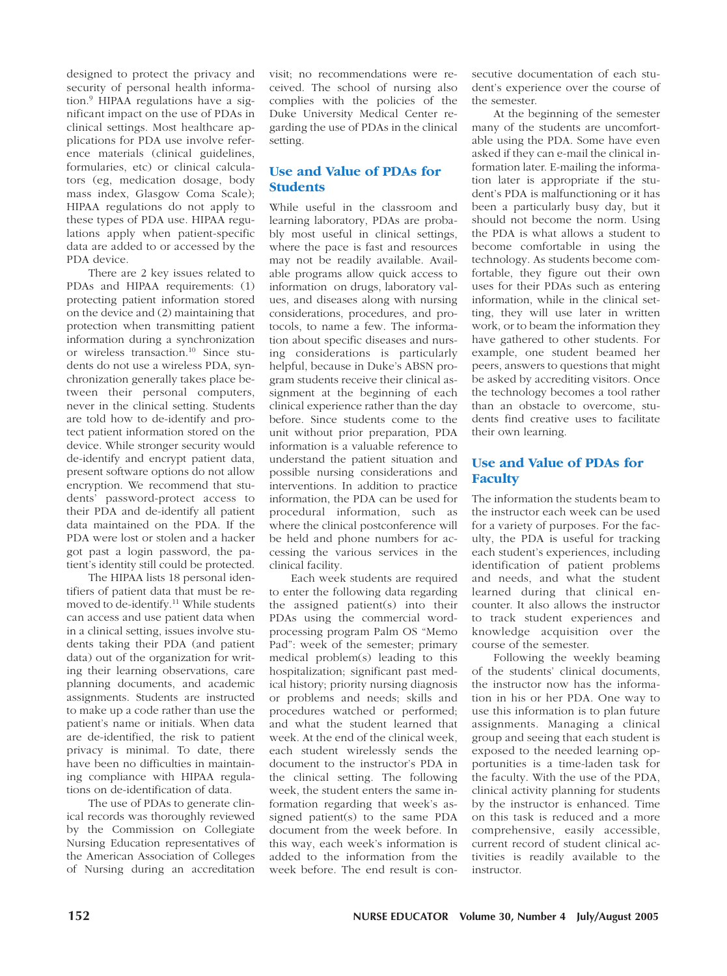designed to protect the privacy and security of personal health information.9 HIPAA regulations have a significant impact on the use of PDAs in clinical settings. Most healthcare applications for PDA use involve reference materials (clinical guidelines, formularies, etc) or clinical calculators (eg, medication dosage, body mass index, Glasgow Coma Scale); HIPAA regulations do not apply to these types of PDA use. HIPAA regulations apply when patient-specific data are added to or accessed by the PDA device.

There are 2 key issues related to PDAs and HIPAA requirements: (1) protecting patient information stored on the device and (2) maintaining that protection when transmitting patient information during a synchronization or wireless transaction.10 Since students do not use a wireless PDA, synchronization generally takes place between their personal computers, never in the clinical setting. Students are told how to de-identify and protect patient information stored on the device. While stronger security would de-identify and encrypt patient data, present software options do not allow encryption. We recommend that students' password-protect access to their PDA and de-identify all patient data maintained on the PDA. If the PDA were lost or stolen and a hacker got past a login password, the patient's identity still could be protected.

The HIPAA lists 18 personal identifiers of patient data that must be removed to de-identify.11 While students can access and use patient data when in a clinical setting, issues involve students taking their PDA (and patient data) out of the organization for writing their learning observations, care planning documents, and academic assignments. Students are instructed to make up a code rather than use the patient's name or initials. When data are de-identified, the risk to patient privacy is minimal. To date, there have been no difficulties in maintaining compliance with HIPAA regulations on de-identification of data.

The use of PDAs to generate clinical records was thoroughly reviewed by the Commission on Collegiate Nursing Education representatives of the American Association of Colleges of Nursing during an accreditation visit; no recommendations were received. The school of nursing also complies with the policies of the Duke University Medical Center regarding the use of PDAs in the clinical setting.

## **Use and Value of PDAs for Students**

While useful in the classroom and learning laboratory, PDAs are probably most useful in clinical settings, where the pace is fast and resources may not be readily available. Available programs allow quick access to information on drugs, laboratory values, and diseases along with nursing considerations, procedures, and protocols, to name a few. The information about specific diseases and nursing considerations is particularly helpful, because in Duke's ABSN program students receive their clinical assignment at the beginning of each clinical experience rather than the day before. Since students come to the unit without prior preparation, PDA information is a valuable reference to understand the patient situation and possible nursing considerations and interventions. In addition to practice information, the PDA can be used for procedural information, such as where the clinical postconference will be held and phone numbers for accessing the various services in the clinical facility.

Each week students are required to enter the following data regarding the assigned patient(s) into their PDAs using the commercial wordprocessing program Palm OS "Memo Pad": week of the semester; primary medical problem(s) leading to this hospitalization; significant past medical history; priority nursing diagnosis or problems and needs; skills and procedures watched or performed; and what the student learned that week. At the end of the clinical week, each student wirelessly sends the document to the instructor's PDA in the clinical setting. The following week, the student enters the same information regarding that week's assigned patient(s) to the same PDA document from the week before. In this way, each week's information is added to the information from the week before. The end result is con-

secutive documentation of each student's experience over the course of the semester.

At the beginning of the semester many of the students are uncomfortable using the PDA. Some have even asked if they can e-mail the clinical information later. E-mailing the information later is appropriate if the student's PDA is malfunctioning or it has been a particularly busy day, but it should not become the norm. Using the PDA is what allows a student to become comfortable in using the technology. As students become comfortable, they figure out their own uses for their PDAs such as entering information, while in the clinical setting, they will use later in written work, or to beam the information they have gathered to other students. For example, one student beamed her peers, answers to questions that might be asked by accrediting visitors. Once the technology becomes a tool rather than an obstacle to overcome, students find creative uses to facilitate their own learning.

# **Use and Value of PDAs for Faculty**

The information the students beam to the instructor each week can be used for a variety of purposes. For the faculty, the PDA is useful for tracking each student's experiences, including identification of patient problems and needs, and what the student learned during that clinical encounter. It also allows the instructor to track student experiences and knowledge acquisition over the course of the semester.

Following the weekly beaming of the students' clinical documents, the instructor now has the information in his or her PDA. One way to use this information is to plan future assignments. Managing a clinical group and seeing that each student is exposed to the needed learning opportunities is a time-laden task for the faculty. With the use of the PDA, clinical activity planning for students by the instructor is enhanced. Time on this task is reduced and a more comprehensive, easily accessible, current record of student clinical activities is readily available to the instructor.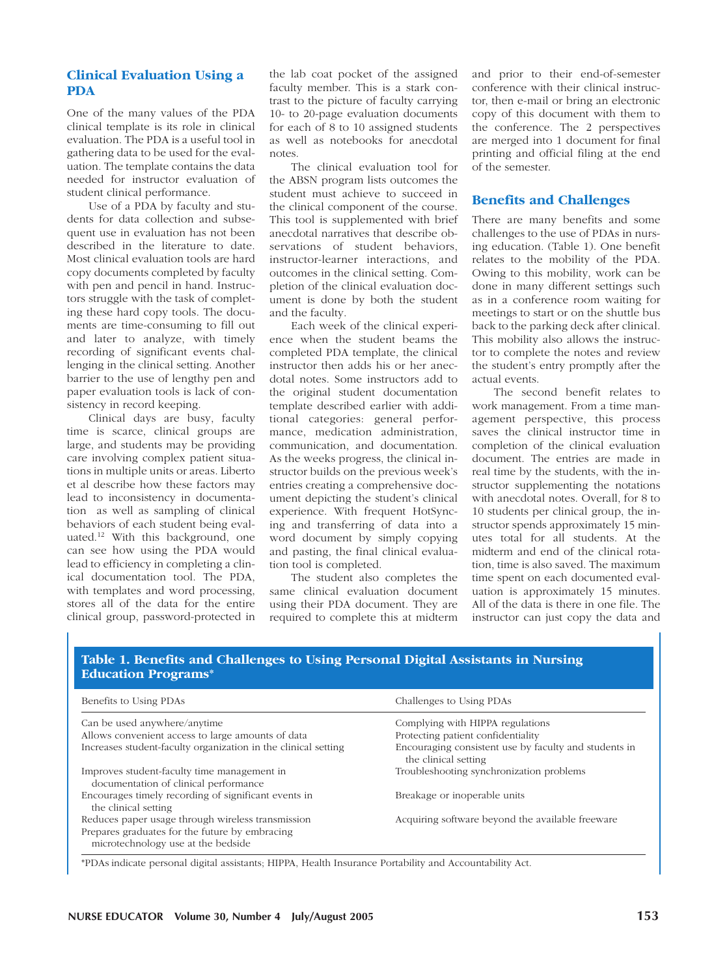## **Clinical Evaluation Using a PDA**

One of the many values of the PDA clinical template is its role in clinical evaluation. The PDA is a useful tool in gathering data to be used for the evaluation. The template contains the data needed for instructor evaluation of student clinical performance.

Use of a PDA by faculty and students for data collection and subsequent use in evaluation has not been described in the literature to date. Most clinical evaluation tools are hard copy documents completed by faculty with pen and pencil in hand. Instructors struggle with the task of completing these hard copy tools. The documents are time-consuming to fill out and later to analyze, with timely recording of significant events challenging in the clinical setting. Another barrier to the use of lengthy pen and paper evaluation tools is lack of consistency in record keeping.

Clinical days are busy, faculty time is scarce, clinical groups are large, and students may be providing care involving complex patient situations in multiple units or areas. Liberto et al describe how these factors may lead to inconsistency in documentation as well as sampling of clinical behaviors of each student being evaluated.12 With this background, one can see how using the PDA would lead to efficiency in completing a clinical documentation tool. The PDA, with templates and word processing. stores all of the data for the entire clinical group, password-protected in the lab coat pocket of the assigned faculty member. This is a stark contrast to the picture of faculty carrying 10- to 20-page evaluation documents for each of 8 to 10 assigned students as well as notebooks for anecdotal notes.

The clinical evaluation tool for the ABSN program lists outcomes the student must achieve to succeed in the clinical component of the course. This tool is supplemented with brief anecdotal narratives that describe observations of student behaviors, instructor-learner interactions, and outcomes in the clinical setting. Completion of the clinical evaluation document is done by both the student and the faculty.

Each week of the clinical experience when the student beams the completed PDA template, the clinical instructor then adds his or her anecdotal notes. Some instructors add to the original student documentation template described earlier with additional categories: general performance, medication administration, communication, and documentation. As the weeks progress, the clinical instructor builds on the previous week's entries creating a comprehensive document depicting the student's clinical experience. With frequent HotSyncing and transferring of data into a word document by simply copying and pasting, the final clinical evaluation tool is completed.

The student also completes the same clinical evaluation document using their PDA document. They are required to complete this at midterm and prior to their end-of-semester conference with their clinical instructor, then e-mail or bring an electronic copy of this document with them to the conference. The 2 perspectives are merged into 1 document for final printing and official filing at the end of the semester.

#### **Benefits and Challenges**

There are many benefits and some challenges to the use of PDAs in nursing education. (Table 1). One benefit relates to the mobility of the PDA. Owing to this mobility, work can be done in many different settings such as in a conference room waiting for meetings to start or on the shuttle bus back to the parking deck after clinical. This mobility also allows the instructor to complete the notes and review the student's entry promptly after the actual events.

The second benefit relates to work management. From a time management perspective, this process saves the clinical instructor time in completion of the clinical evaluation document. The entries are made in real time by the students, with the instructor supplementing the notations with anecdotal notes. Overall, for 8 to 10 students per clinical group, the instructor spends approximately 15 minutes total for all students. At the midterm and end of the clinical rotation, time is also saved. The maximum time spent on each documented evaluation is approximately 15 minutes. All of the data is there in one file. The instructor can just copy the data and

## **Table 1. Benefits and Challenges to Using Personal Digital Assistants in Nursing Education Programs\***

| Benefits to Using PDAs                                                               | Challenges to Using PDAs                                                      |
|--------------------------------------------------------------------------------------|-------------------------------------------------------------------------------|
| Can be used anywhere/anytime                                                         | Complying with HIPPA regulations                                              |
| Allows convenient access to large amounts of data                                    | Protecting patient confidentiality                                            |
| Increases student-faculty organization in the clinical setting                       | Encouraging consistent use by faculty and students in<br>the clinical setting |
| Improves student-faculty time management in<br>documentation of clinical performance | Troubleshooting synchronization problems                                      |
| Encourages timely recording of significant events in<br>the clinical setting         | Breakage or inoperable units                                                  |
| Reduces paper usage through wireless transmission                                    | Acquiring software beyond the available freeware                              |
| Prepares graduates for the future by embracing<br>microtechnology use at the bedside |                                                                               |

\*PDAs indicate personal digital assistants; HIPPA, Health Insurance Portability and Accountability Act.